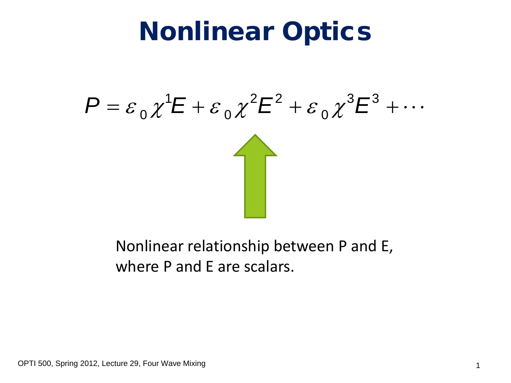### Nonlinear Optics

$$
P = \varepsilon_0 \chi^1 E + \varepsilon_0 \chi^2 E^2 + \varepsilon_0 \chi^3 E^3 + \cdots
$$

#### Nonlinear relationship between P and E, where P and E are scalars.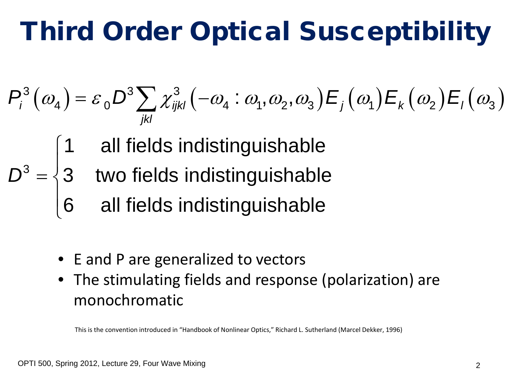### Third Order Optical Susceptibility

$$
P_{i}^{3}(\omega_{4}) = \varepsilon_{0} D^{3} \sum_{jkl} \chi_{ijkl}^{3}(-\omega_{4} : \omega_{1}, \omega_{2}, \omega_{3}) E_{j}(\omega_{1}) E_{k}(\omega_{2}) E_{l}(\omega_{3})
$$

- 1 all fields indistinguishable
- 3 3 two fields indistinguishable *D*  $\overline{\phantom{a}}$  $=\begin{cases}$ 
	- 6 all fields indistinguishable  $\overline{\phantom{a}}$  $\overline{\mathcal{L}}$
	- E and P are generalized to vectors
	- The stimulating fields and response (polarization) are monochromatic

This is the convention introduced in "Handbook of Nonlinear Optics," Richard L. Sutherland (Marcel Dekker, 1996)

 $\begin{bmatrix} \phantom{-} \\ \phantom{-} \end{bmatrix}$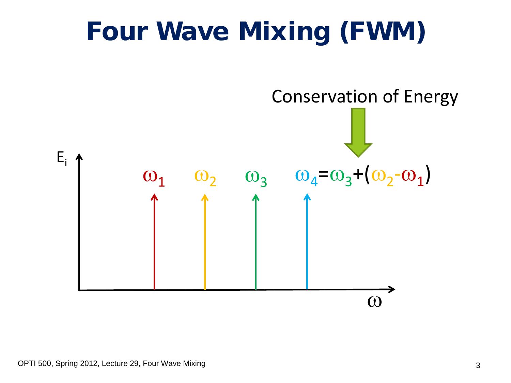### Four Wave Mixing (FWM)

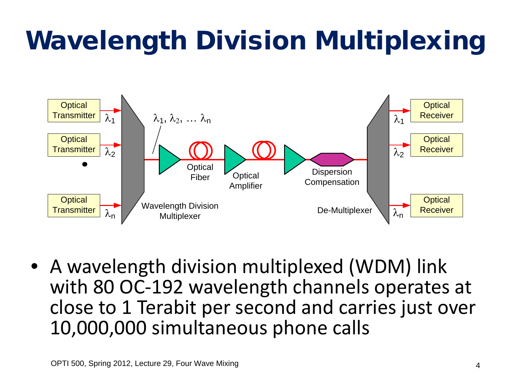# Wavelength Division Multiplexing



• A wavelength division multiplexed (WDM) link with 80 OC-192 wavelength channels operates at close to 1 Terabit per second and carries just over 10,000,000 simultaneous phone calls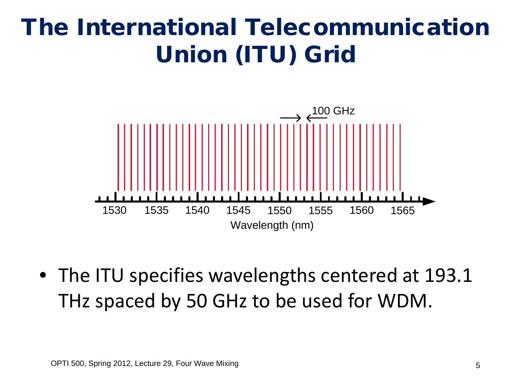#### The International Telecommunication Union (ITU) Grid



• The ITU specifies wavelengths centered at 193.1 THz spaced by 50 GHz to be used for WDM.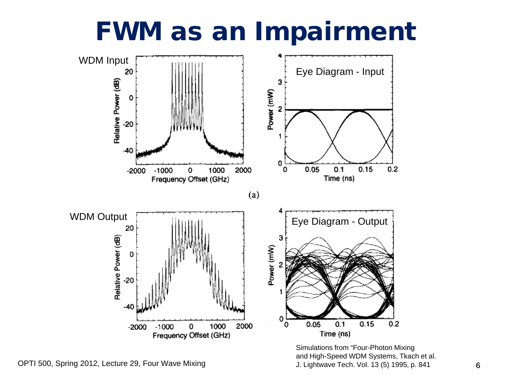### FWM as an Impairment



Simulations from "Four-Photon Mixing<br>and High-Speed WDM Systems, Tkac<br>J. Lightwave Tech. Vol. 13 (5) 1995. p and High-Speed WDM Systems, Tkach et al. J. Lightwave Tech. Vol. 13 (5) 1995, p. 841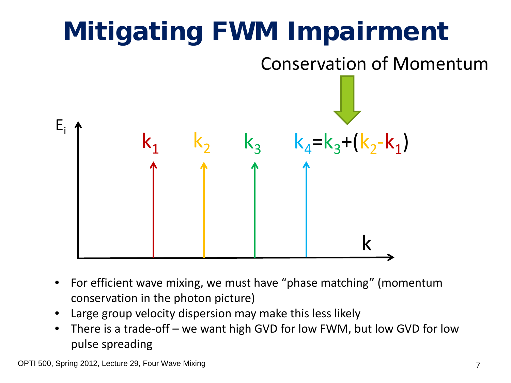

- For efficient wave mixing, we must have "phase matching" (momentum conservation in the photon picture)
- Large group velocity dispersion may make this less likely
- There is a trade-off we want high GVD for low FWM, but low GVD for low pulse spreading

OPTI 500, Spring 2012, Lecture 29, Four Wave Mixing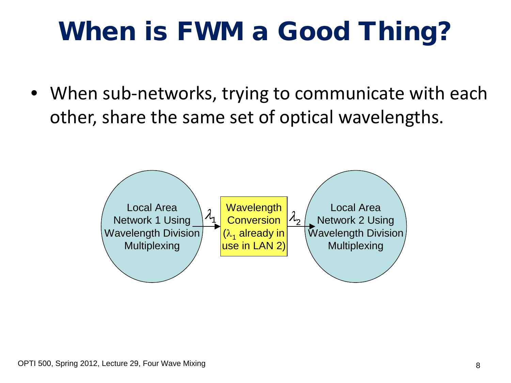## When is FWM a Good Thing?

• When sub-networks, trying to communicate with each other, share the same set of optical wavelengths.

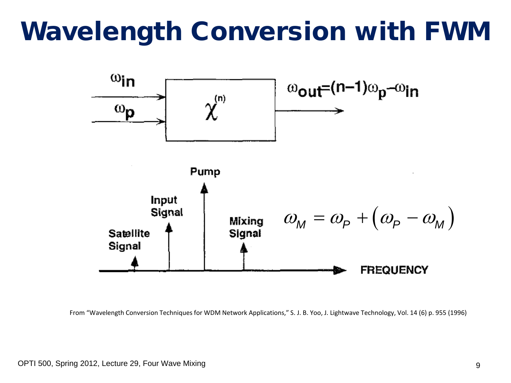### Wavelength Conversion with FWM



From "Wavelength Conversion Techniques for WDM Network Applications," S. J. B. Yoo, J. Lightwave Technology, Vol. 14 (6) p. 955 (1996)